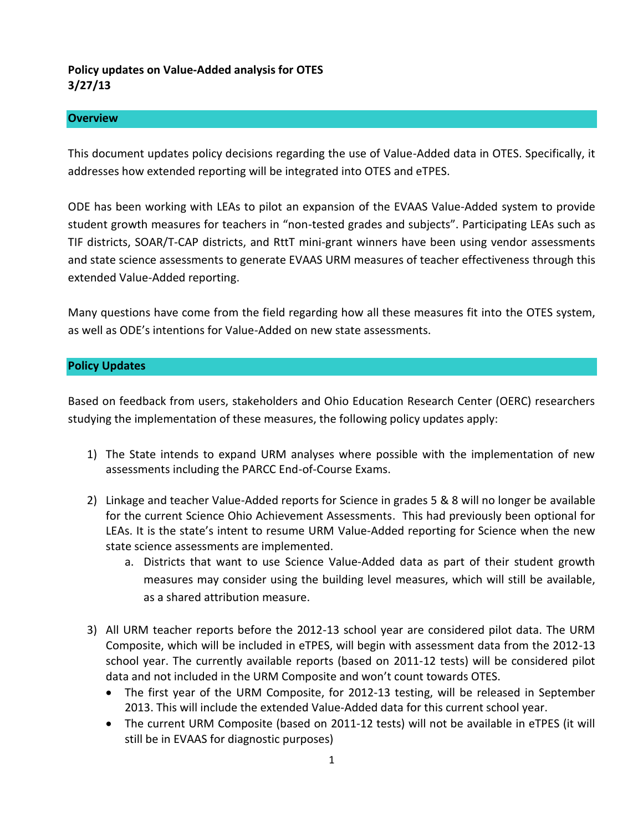# **Policy updates on Value-Added analysis for OTES 3/27/13**

### **Overview**

This document updates policy decisions regarding the use of Value-Added data in OTES. Specifically, it addresses how extended reporting will be integrated into OTES and eTPES.

ODE has been working with LEAs to pilot an expansion of the EVAAS Value-Added system to provide student growth measures for teachers in "non-tested grades and subjects". Participating LEAs such as TIF districts, SOAR/T-CAP districts, and RttT mini-grant winners have been using vendor assessments and state science assessments to generate EVAAS URM measures of teacher effectiveness through this extended Value-Added reporting.

Many questions have come from the field regarding how all these measures fit into the OTES system, as well as ODE's intentions for Value-Added on new state assessments.

### **Policy Updates**

Based on feedback from users, stakeholders and Ohio Education Research Center (OERC) researchers studying the implementation of these measures, the following policy updates apply:

- 1) The State intends to expand URM analyses where possible with the implementation of new assessments including the PARCC End-of-Course Exams.
- 2) Linkage and teacher Value-Added reports for Science in grades 5 & 8 will no longer be available for the current Science Ohio Achievement Assessments. This had previously been optional for LEAs. It is the state's intent to resume URM Value-Added reporting for Science when the new state science assessments are implemented.
	- a. Districts that want to use Science Value-Added data as part of their student growth measures may consider using the building level measures, which will still be available, as a shared attribution measure.
- 3) All URM teacher reports before the 2012-13 school year are considered pilot data. The URM Composite, which will be included in eTPES, will begin with assessment data from the 2012-13 school year. The currently available reports (based on 2011-12 tests) will be considered pilot data and not included in the URM Composite and won't count towards OTES.
	- The first year of the URM Composite, for 2012-13 testing, will be released in September 2013. This will include the extended Value-Added data for this current school year.
	- The current URM Composite (based on 2011-12 tests) will not be available in eTPES (it will still be in EVAAS for diagnostic purposes)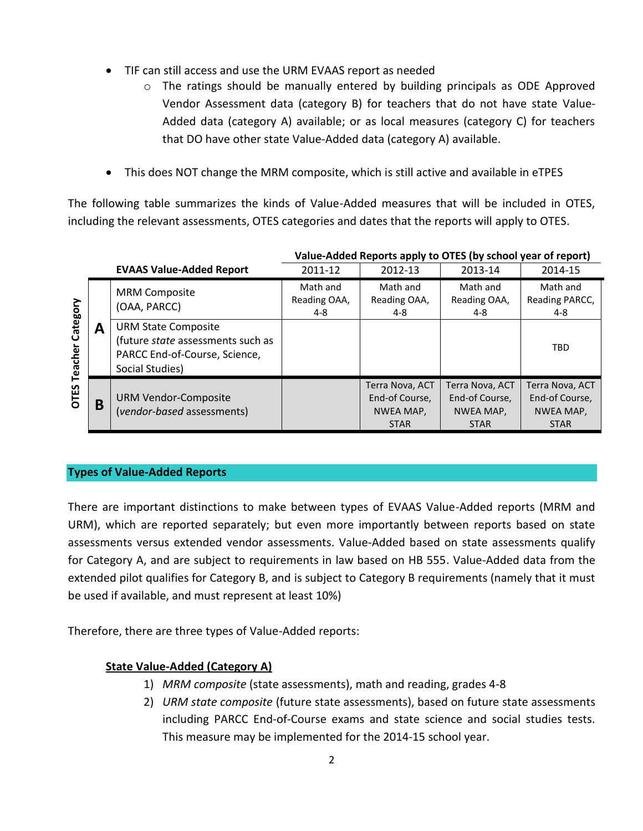- TIF can still access and use the URM EVAAS report as needed
	- o The ratings should be manually entered by building principals as ODE Approved Vendor Assessment data (category B) for teachers that do not have state Value-Added data (category A) available; or as local measures (category C) for teachers that DO have other state Value-Added data (category A) available.
- This does NOT change the MRM composite, which is still active and available in eTPES

The following table summarizes the kinds of Value-Added measures that will be included in OTES, including the relevant assessments, OTES categories and dates that the reports will apply to OTES.

|                                 |   |                                                                                                                     | Value-Added Reports apply to OTES (by school year of report) |                                                               |                                                               |                                                               |
|---------------------------------|---|---------------------------------------------------------------------------------------------------------------------|--------------------------------------------------------------|---------------------------------------------------------------|---------------------------------------------------------------|---------------------------------------------------------------|
|                                 |   | <b>EVAAS Value-Added Report</b>                                                                                     | 2011-12                                                      | 2012-13                                                       | 2013-14                                                       | 2014-15                                                       |
| Category<br><b>OTES Teacher</b> | Α | <b>MRM Composite</b><br>(OAA, PARCC)                                                                                | Math and<br>Reading OAA,<br>4-8                              | Math and<br>Reading OAA,<br>4-8                               | Math and<br>Reading OAA,<br>4-8                               | Math and<br>Reading PARCC,<br>4-8                             |
|                                 |   | <b>URM State Composite</b><br>(future state assessments such as<br>PARCC End-of-Course, Science,<br>Social Studies) |                                                              |                                                               |                                                               | <b>TBD</b>                                                    |
|                                 | B | <b>URM Vendor-Composite</b><br>(vendor-based assessments)                                                           |                                                              | Terra Nova, ACT<br>End-of Course,<br>NWEA MAP,<br><b>STAR</b> | Terra Nova, ACT<br>End-of Course,<br>NWEA MAP,<br><b>STAR</b> | Terra Nova, ACT<br>End-of Course,<br>NWEA MAP,<br><b>STAR</b> |

### **Value-Added Reports apply to OTES (by school year of report)**

# **Types of Value-Added Reports**

There are important distinctions to make between types of EVAAS Value-Added reports (MRM and URM), which are reported separately; but even more importantly between reports based on state assessments versus extended vendor assessments. Value-Added based on state assessments qualify for Category A, and are subject to requirements in law based on HB 555. Value-Added data from the extended pilot qualifies for Category B, and is subject to Category B requirements (namely that it must be used if available, and must represent at least 10%)

Therefore, there are three types of Value-Added reports:

# **State Value-Added (Category A)**

- 1) *MRM composite* (state assessments), math and reading, grades 4-8
- 2) *URM state composite* (future state assessments), based on future state assessments including PARCC End-of-Course exams and state science and social studies tests. This measure may be implemented for the 2014-15 school year.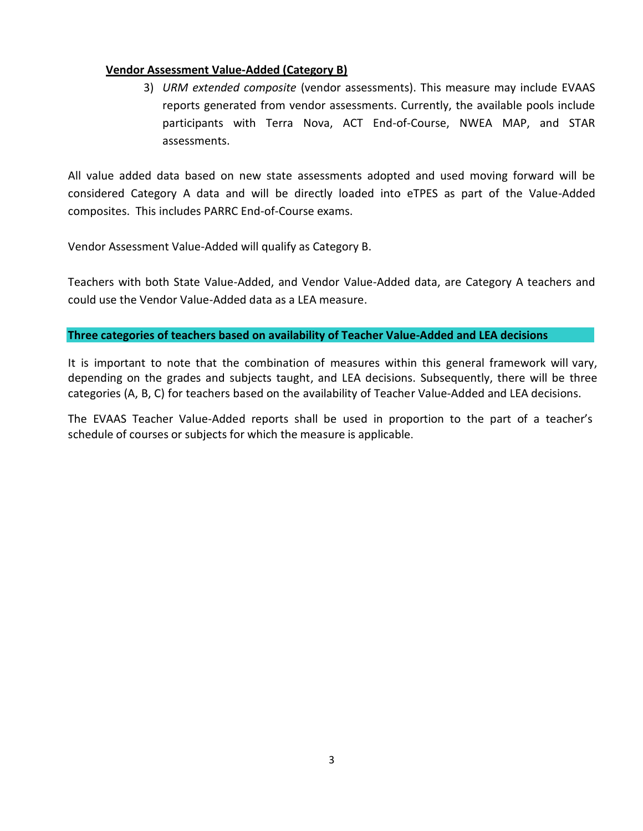### **Vendor Assessment Value-Added (Category B)**

3) *URM extended composite* (vendor assessments). This measure may include EVAAS reports generated from vendor assessments. Currently, the available pools include participants with Terra Nova, ACT End-of-Course, NWEA MAP, and STAR assessments.

All value added data based on new state assessments adopted and used moving forward will be considered Category A data and will be directly loaded into eTPES as part of the Value-Added composites. This includes PARRC End-of-Course exams.

Vendor Assessment Value-Added will qualify as Category B.

Teachers with both State Value-Added, and Vendor Value-Added data, are Category A teachers and could use the Vendor Value-Added data as a LEA measure.

### **Three categories of teachers based on availability of Teacher Value-Added and LEA decisions**

It is important to note that the combination of measures within this general framework will vary, depending on the grades and subjects taught, and LEA decisions. Subsequently, there will be three categories (A, B, C) for teachers based on the availability of Teacher Value-Added and LEA decisions.

The EVAAS Teacher Value-Added reports shall be used in proportion to the part of a teacher's schedule of courses or subjects for which the measure is applicable.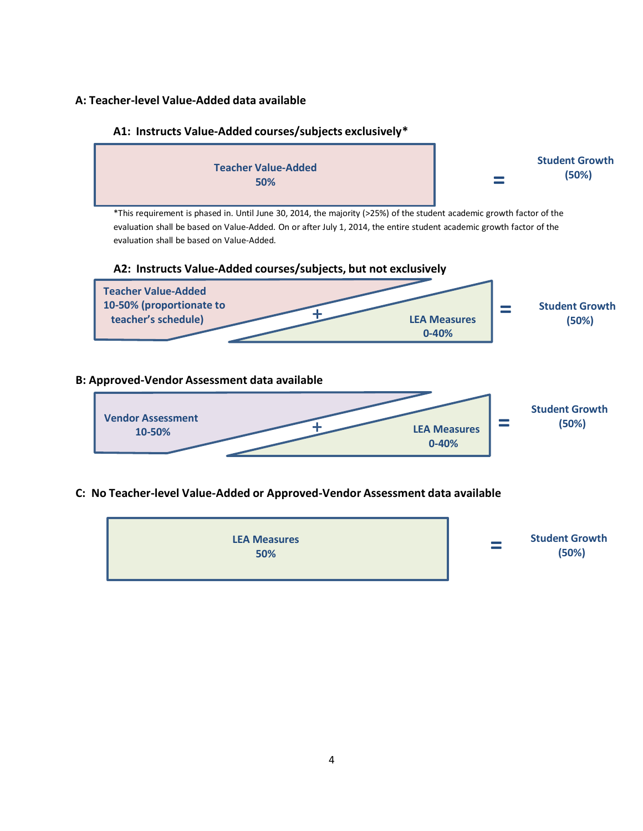### **A: Teacher-level Value-Added data available**

### **A1: Instructs Value-Added courses/subjects exclusively\***